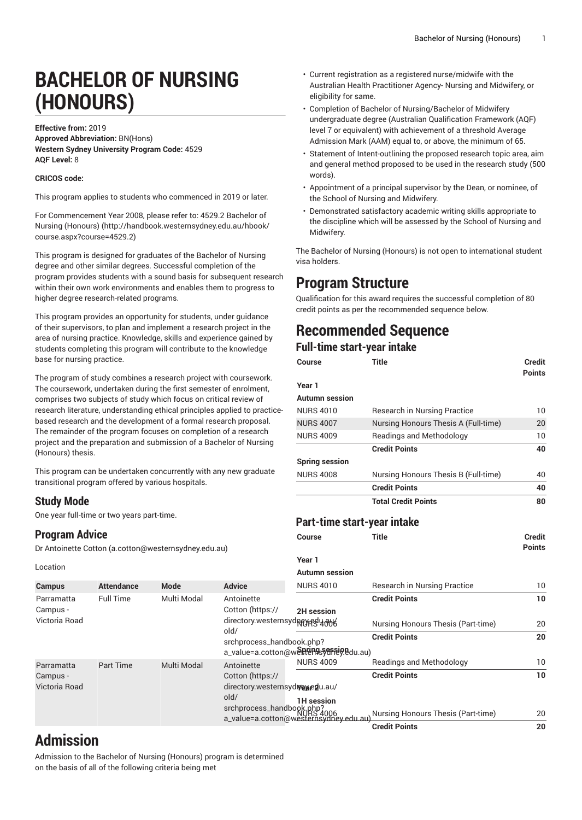# **BACHELOR OF NURSING (HONOURS)**

**Effective from:** 2019 **Approved Abbreviation:** BN(Hons) **Western Sydney University Program Code:** 4529 **AQF Level:** 8

#### **CRICOS code:**

This program applies to students who commenced in 2019 or later.

For [Commencement](http://handbook.westernsydney.edu.au/hbook/course.aspx?course=4529.2) Year 2008, please refer to: 4529.2 Bachelor of [Nursing \(Honours\)](http://handbook.westernsydney.edu.au/hbook/course.aspx?course=4529.2) ([http://handbook.westernsydney.edu.au/hbook/](http://handbook.westernsydney.edu.au/hbook/course.aspx?course=4529.2) [course.aspx?course=4529.2](http://handbook.westernsydney.edu.au/hbook/course.aspx?course=4529.2))

This program is designed for graduates of the Bachelor of Nursing degree and other similar degrees. Successful completion of the program provides students with a sound basis for subsequent research within their own work environments and enables them to progress to higher degree research-related programs.

This program provides an opportunity for students, under guidance of their supervisors, to plan and implement a research project in the area of nursing practice. Knowledge, skills and experience gained by students completing this program will contribute to the knowledge base for nursing practice.

The program of study combines a research project with coursework. The coursework, undertaken during the first semester of enrolment, comprises two subjects of study which focus on critical review of research literature, understanding ethical principles applied to practicebased research and the development of a formal research proposal. The remainder of the program focuses on completion of a research project and the preparation and submission of a Bachelor of Nursing (Honours) thesis.

This program can be undertaken concurrently with any new graduate transitional program offered by various hospitals.

### **Study Mode**

One year full-time or two years part-time.

### **Program Advice**

[Dr Antoinette Cotton](mailto:a.cotton@westernsydney.edu.au) [\(a.cotton@westernsydney.edu.au](a.cotton@westernsydney.edu.au))

**Campus Attendance Mode Advice**

Full Time Multi Modal [Antoinette](https://directory.westernsydney.edu.au/old/srchprocess_handbook.php?a_value=a.cotton@westernsydney.edu.au)

Part Time Multi Modal [Antoinette](https://directory.westernsydney.edu.au/old/srchprocess_handbook.php?a_value=a.cotton@westernsydney.edu.au)

Location

Parramatta Campus - Victoria Road

Parramatta Campus - Victoria Road

- Current registration as a registered nurse/midwife with the Australian Health Practitioner Agency- Nursing and Midwifery, or eligibility for same.
- Completion of Bachelor of Nursing/Bachelor of Midwifery undergraduate degree (Australian Qualification Framework (AQF) level 7 or equivalent) with achievement of a threshold Average Admission Mark (AAM) equal to, or above, the minimum of 65.
- Statement of Intent-outlining the proposed research topic area, aim and general method proposed to be used in the research study (500 words).
- Appointment of a principal supervisor by the Dean, or nominee, of the School of Nursing and Midwifery.
- Demonstrated satisfactory academic writing skills appropriate to the discipline which will be assessed by the School of Nursing and Midwifery.

The Bachelor of Nursing (Honours) is not open to international student visa holders.

## **Program Structure**

Qualification for this award requires the successful completion of 80 credit points as per the recommended sequence below.

## **Recommended Sequence**

### **Full-time start-year intake**

|                                                                                          | <b>Course</b>                            | <b>Title</b>                         | <b>Credit</b><br><b>Points</b> |
|------------------------------------------------------------------------------------------|------------------------------------------|--------------------------------------|--------------------------------|
| h coursework.<br>of enrolment,                                                           | Year 1                                   |                                      |                                |
| al review of<br>plied to practice-<br>arch proposal.<br>of a research<br>elor of Nursing | <b>Autumn</b> session                    |                                      |                                |
|                                                                                          | <b>NURS 4010</b>                         | Research in Nursing Practice         | 10                             |
|                                                                                          | <b>NURS 4007</b>                         | Nursing Honours Thesis A (Full-time) | 20                             |
|                                                                                          | <b>NURS 4009</b>                         | <b>Readings and Methodology</b>      | 10                             |
|                                                                                          |                                          | <b>Credit Points</b>                 | 40                             |
|                                                                                          | <b>Spring session</b>                    |                                      |                                |
| y new graduate                                                                           | <b>NURS 4008</b>                         | Nursing Honours Thesis B (Full-time) | 40                             |
|                                                                                          |                                          | <b>Credit Points</b>                 | 40                             |
|                                                                                          |                                          | <b>Total Credit Points</b>           | 80                             |
|                                                                                          |                                          |                                      |                                |
|                                                                                          | Part-time start-year intake              |                                      |                                |
|                                                                                          | Course                                   | <b>Title</b>                         | <b>Credit</b>                  |
| J)                                                                                       |                                          |                                      | <b>Points</b>                  |
|                                                                                          | Year 1                                   |                                      |                                |
|                                                                                          | <b>Autumn session</b>                    |                                      |                                |
| <b>Advice</b>                                                                            | <b>NURS 4010</b>                         | Research in Nursing Practice         | 10 <sup>°</sup>                |
| Antoinette                                                                               |                                          | <b>Credit Points</b>                 | 10 <sup>°</sup>                |
| Cotton (https://                                                                         | <b>2H</b> session                        |                                      |                                |
| directory.westernsydneyredu@w<br>old/                                                    |                                          | Nursing Honours Thesis (Part-time)   | 20                             |
| srchprocess_handbook.php?                                                                |                                          | <b>Credit Points</b>                 | 20                             |
|                                                                                          | a_value=a.cotton@westents Serriegedu.au) |                                      |                                |
| Antoinette                                                                               | <b>NURS 4009</b>                         | Readings and Methodology             | 10 <sup>°</sup>                |
| Cotton (https://                                                                         |                                          | <b>Credit Points</b>                 | 10 <sup>1</sup>                |
| directory.westernsydrexedu.au/                                                           |                                          |                                      |                                |
| old/                                                                                     | <b>1H</b> session                        |                                      |                                |
| srchprocess_handbook                                                                     | p <sub>á006</sub>                        | Nursing Honours Thesis (Part-time)   | 20                             |
|                                                                                          | a_value=a.cotton@westernsydney.edu.au)   | <b>Credit Points</b>                 | 20                             |
|                                                                                          |                                          |                                      |                                |

# **Admission**

Admission to the Bachelor of Nursing (Honours) program is determined on the basis of all of the following criteria being met